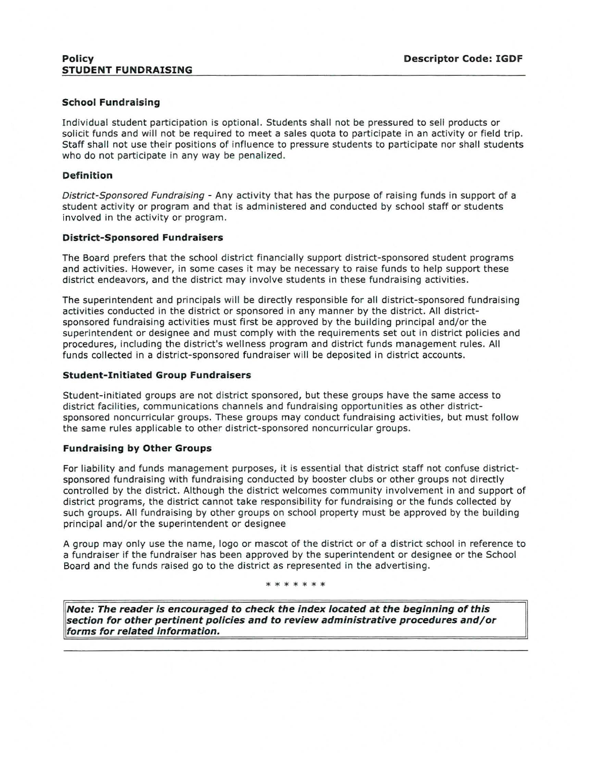# **School Fundraising**

Individual student participation is optional. Students shall not be pressured to sell products or solicit funds and will not be required to meet a sales quota to participate in an activity or field trip. Staff shall not use their positions of influence to pressure students to participate nor shall students who do not participate in any way be penalized.

### **Definition**

District-Sponsored Fundraising - Any activity that has the purpose of raising funds in support of a student activity or program and that is administered and conducted by school staff or students involved in the activity or program.

## **District-Sponsored Fundraisers**

The Board prefers that the school district financially support district-sponsored student programs and activities. However, in some cases it may be necessary to raise funds to help support these district endeavors, and the district may involve students in these fundraising activities.

The superintendent and principals will be directly responsible for all district-sponsored fundraising activities conducted in the district or sponsored in any manner by the district. All districtsponsored fundraising activities must first be approved by the building principal and/or the superintendent or designee and must comply with the requirements set out in district policies and procedures, including the district's wellness program and district funds management rules. All funds collected in a district-sponsored fundraiser will be deposited in district accounts.

#### **Student-Initiated Group Fundraisers**

Student-initiated groups are not district sponsored, but these groups have the same access to district facilities, communications channels and fundraising opportunities as other districtsponsored noncurricular groups. These groups may conduct fundraising activities, but must follow the same rules applicable to other district-sponsored noncurricular groups.

# **Fundraising by Other Groups**

For liability and funds management purposes, it is essential that district staff not confuse districtsponsored fundraising with fundraising conducted by booster clubs or other groups not directly controlled by the district. Although the district welcomes community involvement in and support of district programs, the district cannot take responsibility for fundraising or the funds collected by such groups. All fundraising by other groups on school property must be approved by the building principal and/or the superintendent or designee

A group may only use the name, logo or mascot of the district or of a district school in reference to a fundraiser if the fundraiser has been approved by the superintendent or designee or the School Board and the funds raised go to the district as represented in the advertising.

\* \* \* \* \* \*

**Note: The reader is encouraged to check the index located at the beginning of this section for other pertinent policies and to review administrative procedures and/or forms for related information.**